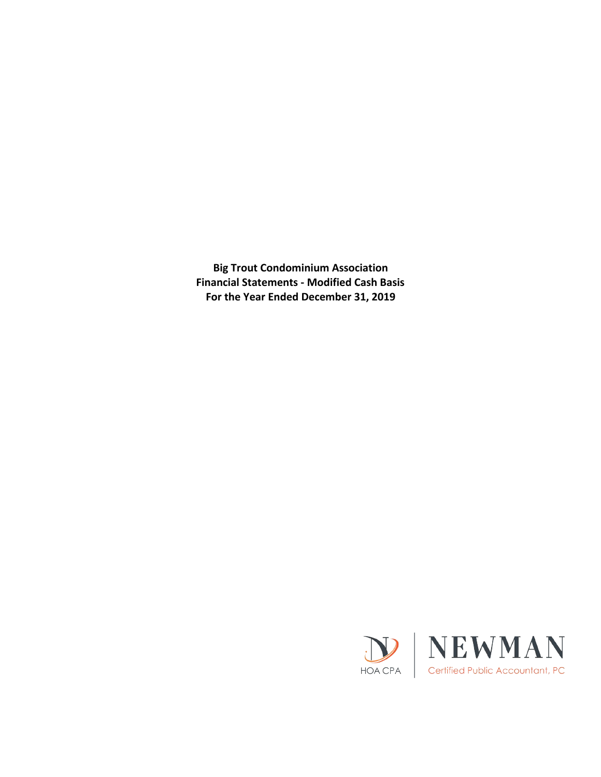**Big Trout Condominium Association Financial Statements - Modified Cash Basis For the Year Ended December 31, 2019**

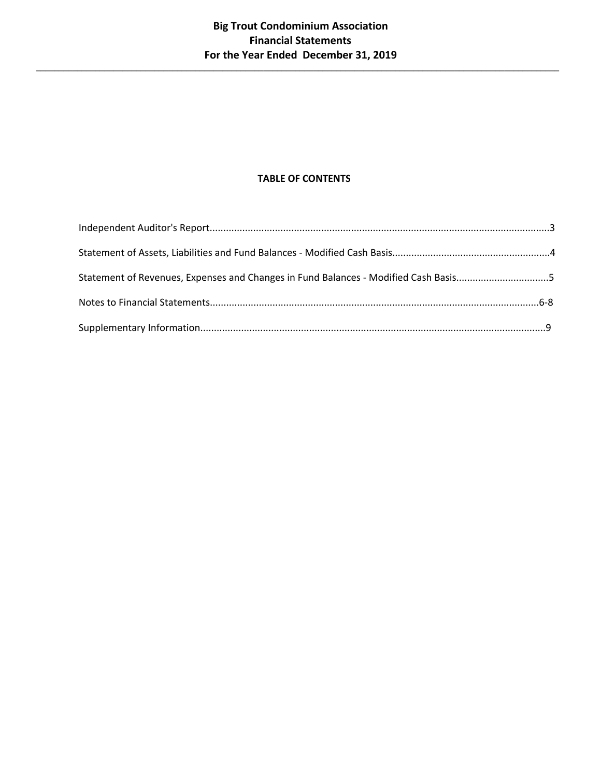$\_$  , and the set of the set of the set of the set of the set of the set of the set of the set of the set of the set of the set of the set of the set of the set of the set of the set of the set of the set of the set of th

# **TABLE OF CONTENTS**

| Statement of Revenues, Expenses and Changes in Fund Balances - Modified Cash Basis5 |  |
|-------------------------------------------------------------------------------------|--|
|                                                                                     |  |
|                                                                                     |  |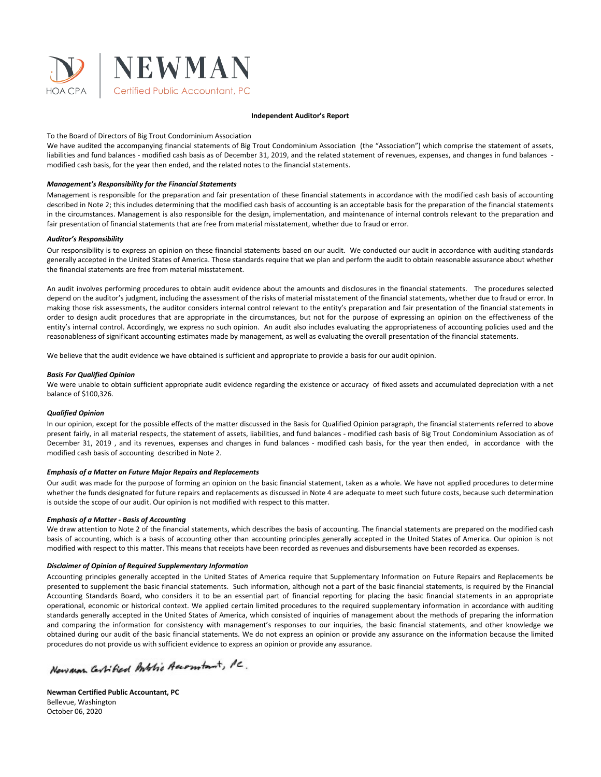

#### **Independent Auditor's Report**

### To the Board of Directors of Big Trout Condominium Association

We have audited the accompanying financial statements of Big Trout Condominium Association (the "Association") which comprise the statement of assets, liabilities and fund balances - modified cash basis as of December 31, 2019, and the related statement of revenues, expenses, and changes in fund balances modified cash basis, for the year then ended, and the related notes to the financial statements.

### *Management's Responsibility for the Financial Statements*

Management is responsible for the preparation and fair presentation of these financial statements in accordance with the modified cash basis of accounting described in Note 2; this includes determining that the modified cash basis of accounting is an acceptable basis for the preparation of the financial statements in the circumstances. Management is also responsible for the design, implementation, and maintenance of internal controls relevant to the preparation and fair presentation of financial statements that are free from material misstatement, whether due to fraud or error.

#### *Auditor's Responsibility*

Our responsibility is to express an opinion on these financial statements based on our audit. We conducted our audit in accordance with auditing standards generally accepted in the United States of America. Those standards require that we plan and perform the audit to obtain reasonable assurance about whether the financial statements are free from material misstatement.

An audit involves performing procedures to obtain audit evidence about the amounts and disclosures in the financial statements. The procedures selected depend on the auditor's judgment, including the assessment of the risks of material misstatement of the financial statements, whether due to fraud or error. In making those risk assessments, the auditor considers internal control relevant to the entity's preparation and fair presentation of the financial statements in order to design audit procedures that are appropriate in the circumstances, but not for the purpose of expressing an opinion on the effectiveness of the entity's internal control. Accordingly, we express no such opinion. An audit also includes evaluating the appropriateness of accounting policies used and the reasonableness of significant accounting estimates made by management, as well as evaluating the overall presentation of the financial statements.

We believe that the audit evidence we have obtained is sufficient and appropriate to provide a basis for our audit opinion.

#### *Basis For Qualified Opinion*

We were unable to obtain sufficient appropriate audit evidence regarding the existence or accuracy of fixed assets and accumulated depreciation with a net balance of \$100,326.

#### *Qualified Opinion*

In our opinion, except for the possible effects of the matter discussed in the Basis for Qualified Opinion paragraph, the financial statements referred to above present fairly, in all material respects, the statement of assets, liabilities, and fund balances - modified cash basis of Big Trout Condominium Association as of December 31, 2019 , and its revenues, expenses and changes in fund balances - modified cash basis, for the year then ended, in accordance with the modified cash basis of accounting described in Note 2.

### *Emphasis of a Matter on Future Major Repairs and Replacements*

Our audit was made for the purpose of forming an opinion on the basic financial statement, taken as a whole. We have not applied procedures to determine whether the funds designated for future repairs and replacements as discussed in Note 4 are adequate to meet such future costs, because such determination is outside the scope of our audit. Our opinion is not modified with respect to this matter.

#### *Emphasis of a Matter - Basis of Accounting*

We draw attention to Note 2 of the financial statements, which describes the basis of accounting. The financial statements are prepared on the modified cash basis of accounting, which is a basis of accounting other than accounting principles generally accepted in the United States of America. Our opinion is not modified with respect to this matter. This means that receipts have been recorded as revenues and disbursements have been recorded as expenses.

#### *Disclaimer of Opinion of Required Supplementary Information*

Accounting principles generally accepted in the United States of America require that Supplementary Information on Future Repairs and Replacements be presented to supplement the basic financial statements. Such information, although not a part of the basic financial statements, is required by the Financial Accounting Standards Board, who considers it to be an essential part of financial reporting for placing the basic financial statements in an appropriate operational, economic or historical context. We applied certain limited procedures to the required supplementary information in accordance with auditing standards generally accepted in the United States of America, which consisted of inquiries of management about the methods of preparing the information and comparing the information for consistency with management's responses to our inquiries, the basic financial statements, and other knowledge we obtained during our audit of the basic financial statements. We do not express an opinion or provide any assurance on the information because the limited procedures do not provide us with sufficient evidence to express an opinion or provide any assurance.

Newman Certified Bublic Accomtant, PC.

**Newman Certified Public Accountant, PC** Bellevue, Washington October 06, 2020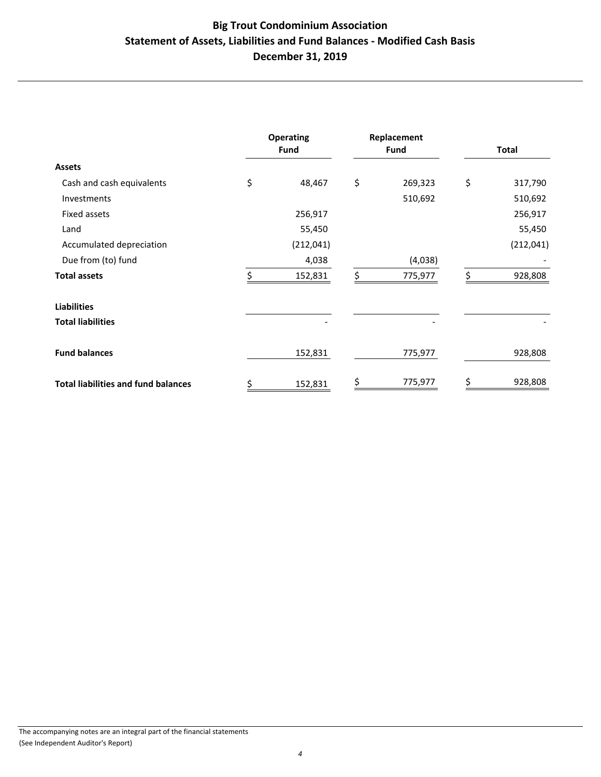# **Big Trout Condominium Association Statement of Assets, Liabilities and Fund Balances - Modified Cash Basis December 31, 2019**

|                                            | <b>Operating</b><br><b>Fund</b> |            | Replacement<br><b>Fund</b> |         | Total |            |
|--------------------------------------------|---------------------------------|------------|----------------------------|---------|-------|------------|
| <b>Assets</b>                              |                                 |            |                            |         |       |            |
| Cash and cash equivalents                  | \$                              | 48,467     | \$                         | 269,323 | \$    | 317,790    |
| Investments                                |                                 |            |                            | 510,692 |       | 510,692    |
| Fixed assets                               |                                 | 256,917    |                            |         |       | 256,917    |
| Land                                       |                                 | 55,450     |                            |         |       | 55,450     |
| Accumulated depreciation                   |                                 | (212, 041) |                            |         |       | (212, 041) |
| Due from (to) fund                         |                                 | 4,038      |                            | (4,038) |       |            |
| <b>Total assets</b>                        |                                 | 152,831    | \$                         | 775,977 | \$    | 928,808    |
| <b>Liabilities</b>                         |                                 |            |                            |         |       |            |
| <b>Total liabilities</b>                   |                                 |            |                            |         |       |            |
| <b>Fund balances</b>                       |                                 | 152,831    |                            | 775,977 |       | 928,808    |
| <b>Total liabilities and fund balances</b> | \$                              | 152,831    | \$                         | 775,977 | \$    | 928,808    |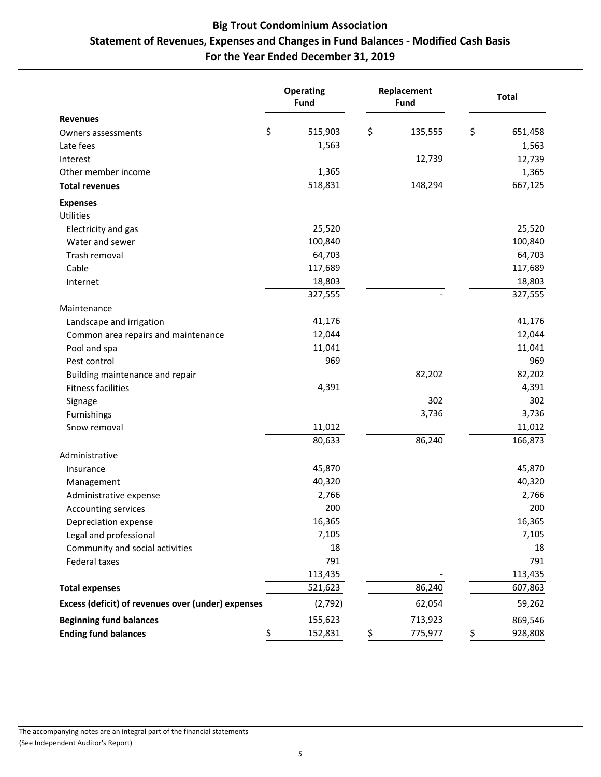# **Big Trout Condominium Association Statement of Revenues, Expenses and Changes in Fund Balances - Modified Cash Basis For the Year Ended December 31, 2019**

|                                                    |                  | <b>Operating</b><br>Fund | Replacement<br>Fund |                  | <b>Total</b> |
|----------------------------------------------------|------------------|--------------------------|---------------------|------------------|--------------|
| <b>Revenues</b>                                    |                  |                          |                     |                  |              |
| Owners assessments                                 | \$               | 515,903                  | \$<br>135,555       | \$               | 651,458      |
| Late fees                                          |                  | 1,563                    |                     |                  | 1,563        |
| Interest                                           |                  |                          | 12,739              |                  | 12,739       |
| Other member income                                |                  | 1,365                    |                     |                  | 1,365        |
| <b>Total revenues</b>                              |                  | 518,831                  | 148,294             |                  | 667,125      |
| <b>Expenses</b>                                    |                  |                          |                     |                  |              |
| Utilities                                          |                  |                          |                     |                  |              |
| Electricity and gas                                |                  | 25,520                   |                     |                  | 25,520       |
| Water and sewer                                    |                  | 100,840                  |                     |                  | 100,840      |
| Trash removal                                      |                  | 64,703                   |                     |                  | 64,703       |
| Cable                                              |                  | 117,689                  |                     |                  | 117,689      |
| Internet                                           |                  | 18,803                   |                     |                  | 18,803       |
|                                                    |                  | 327,555                  |                     |                  | 327,555      |
| Maintenance                                        |                  |                          |                     |                  |              |
| Landscape and irrigation                           |                  | 41,176                   |                     |                  | 41,176       |
| Common area repairs and maintenance                |                  | 12,044                   |                     |                  | 12,044       |
| Pool and spa                                       |                  | 11,041                   |                     |                  | 11,041       |
| Pest control                                       |                  | 969                      |                     |                  | 969          |
| Building maintenance and repair                    |                  |                          | 82,202              |                  | 82,202       |
| <b>Fitness facilities</b>                          |                  | 4,391                    |                     |                  | 4,391        |
| Signage                                            |                  |                          | 302                 |                  | 302          |
| Furnishings                                        |                  |                          | 3,736               |                  | 3,736        |
| Snow removal                                       |                  | 11,012                   |                     |                  | 11,012       |
|                                                    |                  | 80,633                   | 86,240              |                  | 166,873      |
| Administrative                                     |                  |                          |                     |                  |              |
| Insurance                                          |                  | 45,870                   |                     |                  | 45,870       |
| Management                                         |                  | 40,320                   |                     |                  | 40,320       |
| Administrative expense                             |                  | 2,766                    |                     |                  | 2,766        |
| Accounting services                                |                  | 200                      |                     |                  | 200          |
| Depreciation expense                               |                  | 16,365                   |                     |                  | 16,365       |
| Legal and professional                             |                  | 7,105                    |                     |                  | 7,105        |
| Community and social activities                    |                  | 18                       |                     |                  | 18           |
| Federal taxes                                      |                  | 791                      |                     |                  | 791          |
|                                                    |                  | 113,435                  |                     |                  | 113,435      |
| <b>Total expenses</b>                              |                  | 521,623                  | 86,240              |                  | 607,863      |
| Excess (deficit) of revenues over (under) expenses |                  | (2,792)                  | 62,054              |                  | 59,262       |
| <b>Beginning fund balances</b>                     |                  | 155,623                  | 713,923             |                  | 869,546      |
| <b>Ending fund balances</b>                        | $\overline{\xi}$ | 152,831                  | \$<br>775,977       | $\overline{\xi}$ | 928,808      |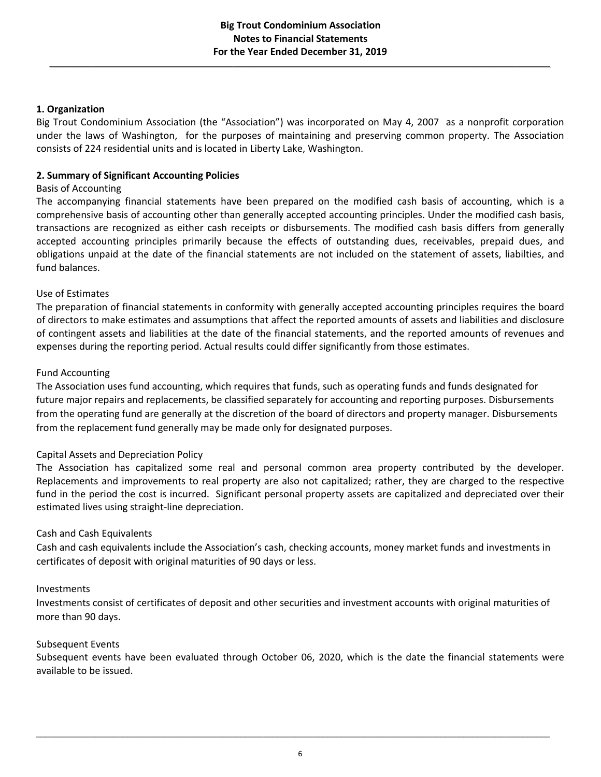\_\_\_\_\_\_\_\_\_\_\_\_\_\_\_\_\_\_\_\_\_\_\_\_\_\_\_\_\_\_\_\_\_\_\_\_\_\_\_\_\_\_\_\_\_\_\_\_\_\_\_\_\_\_\_\_\_\_\_\_\_\_\_\_\_\_\_\_\_\_\_\_\_\_\_\_\_\_\_\_\_\_\_\_\_\_\_\_\_\_\_\_\_\_\_\_\_\_\_\_\_\_\_\_\_\_\_\_\_\_\_\_\_\_\_\_\_

### **1. Organization**

Big Trout Condominium Association (the "Association") was incorporated on May 4, 2007 as a nonprofit corporation under the laws of Washington, for the purposes of maintaining and preserving common property. The Association consists of 224 residential units and is located in Liberty Lake, Washington.

# **2. Summary of Significant Accounting Policies**

### Basis of Accounting

The accompanying financial statements have been prepared on the modified cash basis of accounting, which is a comprehensive basis of accounting other than generally accepted accounting principles. Under the modified cash basis, transactions are recognized as either cash receipts or disbursements. The modified cash basis differs from generally accepted accounting principles primarily because the effects of outstanding dues, receivables, prepaid dues, and obligations unpaid at the date of the financial statements are not included on the statement of assets, liabilties, and fund balances.

### Use of Estimates

The preparation of financial statements in conformity with generally accepted accounting principles requires the board of directors to make estimates and assumptions that affect the reported amounts of assets and liabilities and disclosure of contingent assets and liabilities at the date of the financial statements, and the reported amounts of revenues and expenses during the reporting period. Actual results could differ significantly from those estimates.

### Fund Accounting

The Association uses fund accounting, which requires that funds, such as operating funds and funds designated for future major repairs and replacements, be classified separately for accounting and reporting purposes. Disbursements from the operating fund are generally at the discretion of the board of directors and property manager. Disbursements from the replacement fund generally may be made only for designated purposes.

# Capital Assets and Depreciation Policy

The Association has capitalized some real and personal common area property contributed by the developer. Replacements and improvements to real property are also not capitalized; rather, they are charged to the respective fund in the period the cost is incurred. Significant personal property assets are capitalized and depreciated over their estimated lives using straight-line depreciation.

# Cash and Cash Equivalents

Cash and cash equivalents include the Association's cash, checking accounts, money market funds and investments in certificates of deposit with original maturities of 90 days or less.

### Investments

Investments consist of certificates of deposit and other securities and investment accounts with original maturities of more than 90 days.

### Subsequent Events

Subsequent events have been evaluated through October 06, 2020, which is the date the financial statements were available to be issued.

\_\_\_\_\_\_\_\_\_\_\_\_\_\_\_\_\_\_\_\_\_\_\_\_\_\_\_\_\_\_\_\_\_\_\_\_\_\_\_\_\_\_\_\_\_\_\_\_\_\_\_\_\_\_\_\_\_\_\_\_\_\_\_\_\_\_\_\_\_\_\_\_\_\_\_\_\_\_\_\_\_\_\_\_\_\_\_\_\_\_\_\_\_\_\_\_\_\_\_\_\_\_\_\_\_\_\_\_\_\_\_\_\_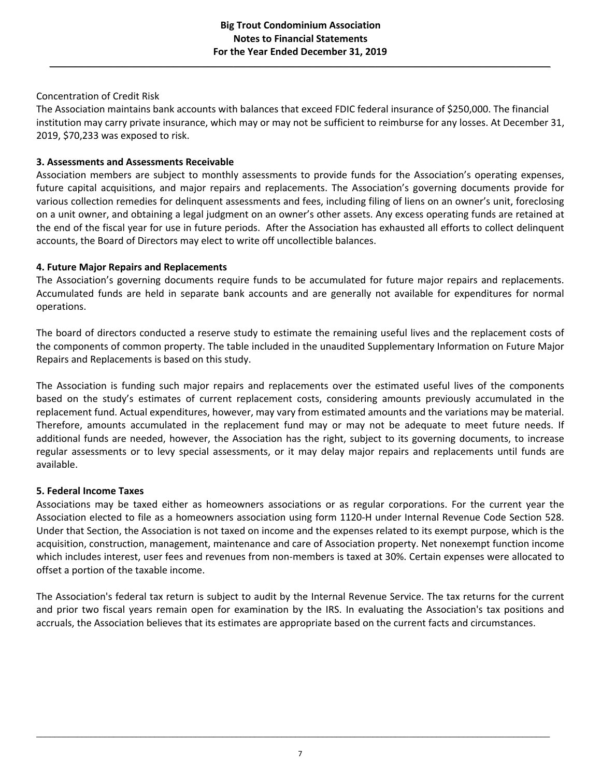\_\_\_\_\_\_\_\_\_\_\_\_\_\_\_\_\_\_\_\_\_\_\_\_\_\_\_\_\_\_\_\_\_\_\_\_\_\_\_\_\_\_\_\_\_\_\_\_\_\_\_\_\_\_\_\_\_\_\_\_\_\_\_\_\_\_\_\_\_\_\_\_\_\_\_\_\_\_\_\_\_\_\_\_\_\_\_\_\_\_\_\_\_\_\_\_\_\_\_\_\_\_\_\_\_\_\_\_\_\_\_\_\_\_\_\_\_

# Concentration of Credit Risk

The Association maintains bank accounts with balances that exceed FDIC federal insurance of \$250,000. The financial institution may carry private insurance, which may or may not be sufficient to reimburse for any losses. At December 31, 2019, \$70,233 was exposed to risk.

# **3. Assessments and Assessments Receivable**

Association members are subject to monthly assessments to provide funds for the Association's operating expenses, future capital acquisitions, and major repairs and replacements. The Association's governing documents provide for various collection remedies for delinquent assessments and fees, including filing of liens on an owner's unit, foreclosing on a unit owner, and obtaining a legal judgment on an owner's other assets. Any excess operating funds are retained at the end of the fiscal year for use in future periods. After the Association has exhausted all efforts to collect delinquent accounts, the Board of Directors may elect to write off uncollectible balances.

# **4. Future Major Repairs and Replacements**

The Association's governing documents require funds to be accumulated for future major repairs and replacements. Accumulated funds are held in separate bank accounts and are generally not available for expenditures for normal operations.

The board of directors conducted a reserve study to estimate the remaining useful lives and the replacement costs of the components of common property. The table included in the unaudited Supplementary Information on Future Major Repairs and Replacements is based on this study.

The Association is funding such major repairs and replacements over the estimated useful lives of the components based on the study's estimates of current replacement costs, considering amounts previously accumulated in the replacement fund. Actual expenditures, however, may vary from estimated amounts and the variations may be material. Therefore, amounts accumulated in the replacement fund may or may not be adequate to meet future needs. If additional funds are needed, however, the Association has the right, subject to its governing documents, to increase regular assessments or to levy special assessments, or it may delay major repairs and replacements until funds are available.

# **5. Federal Income Taxes**

Associations may be taxed either as homeowners associations or as regular corporations. For the current year the Association elected to file as a homeowners association using form 1120-H under Internal Revenue Code Section 528. Under that Section, the Association is not taxed on income and the expenses related to its exempt purpose, which is the acquisition, construction, management, maintenance and care of Association property. Net nonexempt function income which includes interest, user fees and revenues from non-members is taxed at 30%. Certain expenses were allocated to offset a portion of the taxable income.

The Association's federal tax return is subject to audit by the Internal Revenue Service. The tax returns for the current and prior two fiscal years remain open for examination by the IRS. In evaluating the Association's tax positions and accruals, the Association believes that its estimates are appropriate based on the current facts and circumstances.

\_\_\_\_\_\_\_\_\_\_\_\_\_\_\_\_\_\_\_\_\_\_\_\_\_\_\_\_\_\_\_\_\_\_\_\_\_\_\_\_\_\_\_\_\_\_\_\_\_\_\_\_\_\_\_\_\_\_\_\_\_\_\_\_\_\_\_\_\_\_\_\_\_\_\_\_\_\_\_\_\_\_\_\_\_\_\_\_\_\_\_\_\_\_\_\_\_\_\_\_\_\_\_\_\_\_\_\_\_\_\_\_\_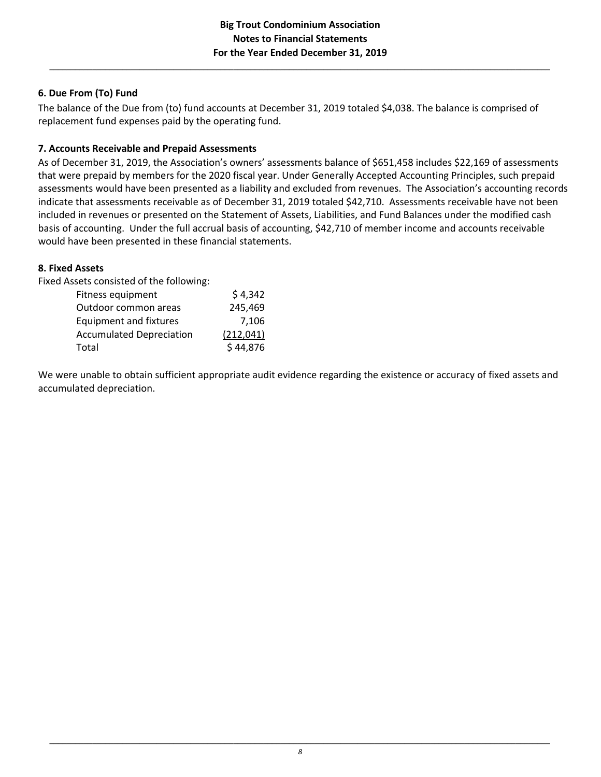$\_$  , and the state of the state of the state of the state of the state of the state of the state of the state of the state of the state of the state of the state of the state of the state of the state of the state of the

# **6. Due From (To) Fund**

The balance of the Due from (to) fund accounts at December 31, 2019 totaled \$4,038. The balance is comprised of replacement fund expenses paid by the operating fund.

# **7. Accounts Receivable and Prepaid Assessments**

As of December 31, 2019, the Association's owners' assessments balance of \$651,458 includes \$22,169 of assessments that were prepaid by members for the 2020 fiscal year. Under Generally Accepted Accounting Principles, such prepaid assessments would have been presented as a liability and excluded from revenues. The Association's accounting records indicate that assessments receivable as of December 31, 2019 totaled \$42,710. Assessments receivable have not been included in revenues or presented on the Statement of Assets, Liabilities, and Fund Balances under the modified cash basis of accounting. Under the full accrual basis of accounting, \$42,710 of member income and accounts receivable would have been presented in these financial statements.

# **8. Fixed Assets**

Fixed Assets consisted of the following:

| Fitness equipment               | \$4,342    |
|---------------------------------|------------|
| Outdoor common areas            | 245,469    |
| <b>Equipment and fixtures</b>   | 7.106      |
| <b>Accumulated Depreciation</b> | (212, 041) |
| Total                           | \$44,876   |

We were unable to obtain sufficient appropriate audit evidence regarding the existence or accuracy of fixed assets and accumulated depreciation.